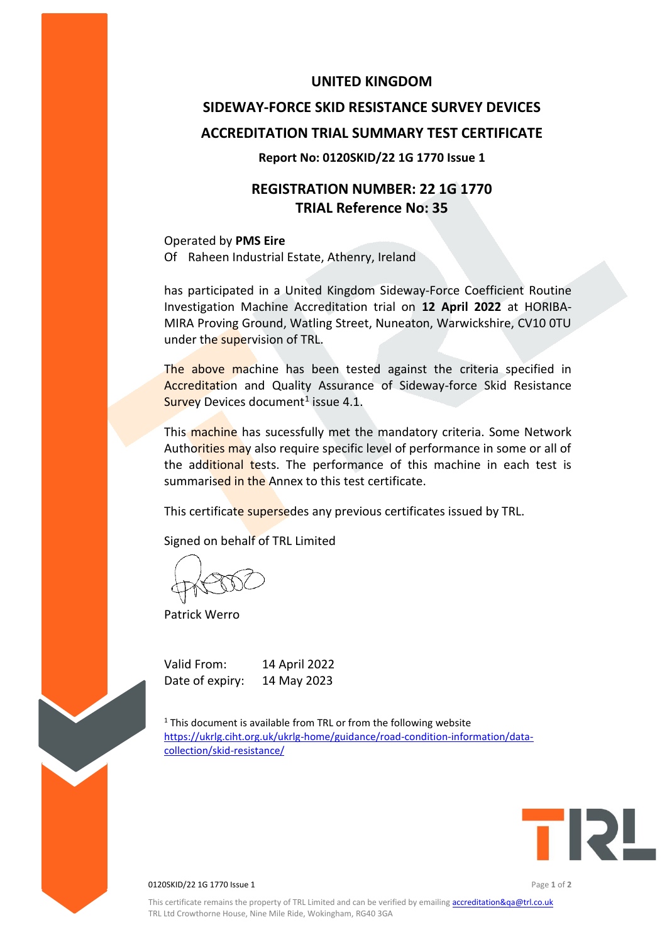### **UNITED KINGDOM**

# **SIDEWAY-FORCE SKID RESISTANCE SURVEY DEVICES ACCREDITATION TRIAL SUMMARY TEST CERTIFICATE**

#### **Report No: 0120SKID/22 1G 1770 Issue 1**

## **REGISTRATION NUMBER: 22 1G 1770 TRIAL Reference No: 35**

Operated by **PMS Eire** Of Raheen Industrial Estate, Athenry, Ireland

has participated in a United Kingdom Sideway-Force Coefficient Routine Investigation Machine Accreditation trial on **12 April 2022** at HORIBA-MIRA Proving Ground, Watling Street, Nuneaton, Warwickshire, CV10 0TU under the supervision of TRL.

The above machine has been tested against the criteria specified in Accreditation and Quality Assurance of Sideway-force Skid Resistance Survey Devices document<sup>1</sup> issue 4.1.

This machine has sucessfully met the mandatory criteria. Some Network Authorities may also require specific level of performance in some or all of the additional tests. The performance of this machine in each test is summarised in the Annex to this test certificate.

This certificate supersedes any previous certificates issued by TRL.

Signed on behalf of TRL Limited

Patrick Werro

Valid From: 14 April 2022 Date of expiry: 14 May 2023

 $1$ <sup>1</sup> This document is available from TRL or from the following website [https://ukrlg.ciht.org.uk/ukrlg-home/guidance/road-condition-information/data](https://ukrlg.ciht.org.uk/ukrlg-home/guidance/road-condition-information/data-collection/skid-resistance/)[collection/skid-resistance/](https://ukrlg.ciht.org.uk/ukrlg-home/guidance/road-condition-information/data-collection/skid-resistance/)



0120SKID/22 1G 1770 Issue 1 Page **1** of **2**

This certificate remains the property of TRL Limited and can be verified by emailin[g accreditation&qa@trl.co.uk](mailto:accreditation&qa@trl.co.uk) TRL Ltd Crowthorne House, Nine Mile Ride, Wokingham, RG40 3GA